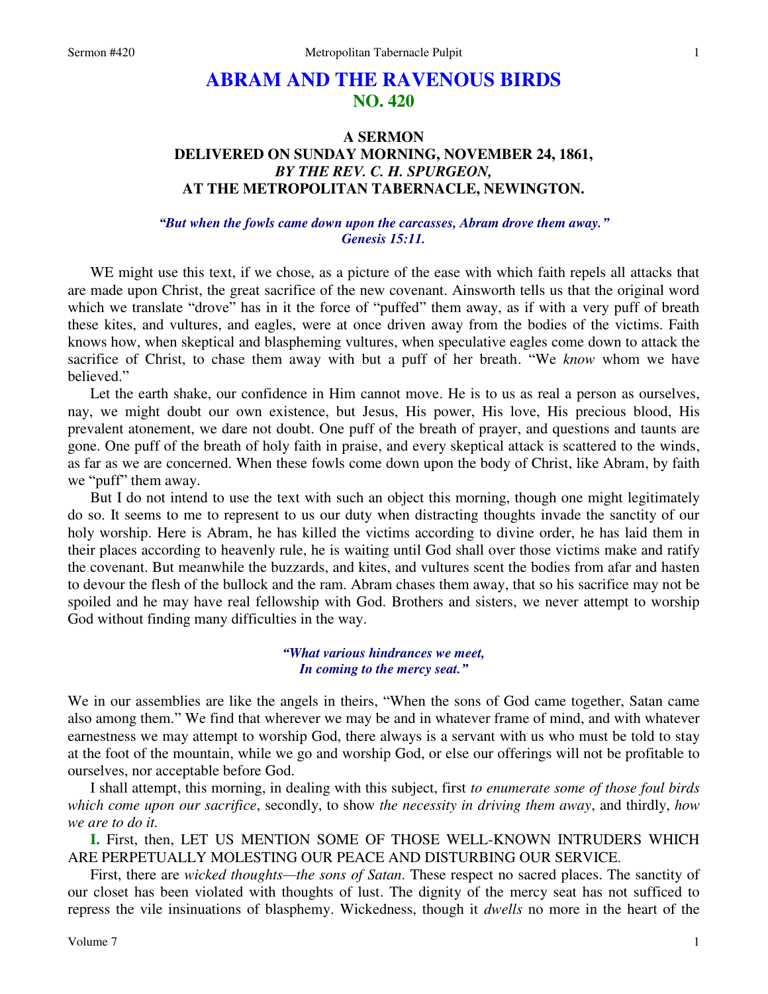# **ABRAM AND THE RAVENOUS BIRDS NO. 420**

## **A SERMON DELIVERED ON SUNDAY MORNING, NOVEMBER 24, 1861,**  *BY THE REV. C. H. SPURGEON,*  **AT THE METROPOLITAN TABERNACLE, NEWINGTON.**

### *"But when the fowls came down upon the carcasses, Abram drove them away." Genesis 15:11.*

WE might use this text, if we chose, as a picture of the ease with which faith repels all attacks that are made upon Christ, the great sacrifice of the new covenant. Ainsworth tells us that the original word which we translate "drove" has in it the force of "puffed" them away, as if with a very puff of breath these kites, and vultures, and eagles, were at once driven away from the bodies of the victims. Faith knows how, when skeptical and blaspheming vultures, when speculative eagles come down to attack the sacrifice of Christ, to chase them away with but a puff of her breath. "We *know* whom we have believed."

Let the earth shake, our confidence in Him cannot move. He is to us as real a person as ourselves, nay, we might doubt our own existence, but Jesus, His power, His love, His precious blood, His prevalent atonement, we dare not doubt. One puff of the breath of prayer, and questions and taunts are gone. One puff of the breath of holy faith in praise, and every skeptical attack is scattered to the winds, as far as we are concerned. When these fowls come down upon the body of Christ, like Abram, by faith we "puff" them away.

But I do not intend to use the text with such an object this morning, though one might legitimately do so. It seems to me to represent to us our duty when distracting thoughts invade the sanctity of our holy worship. Here is Abram, he has killed the victims according to divine order, he has laid them in their places according to heavenly rule, he is waiting until God shall over those victims make and ratify the covenant. But meanwhile the buzzards, and kites, and vultures scent the bodies from afar and hasten to devour the flesh of the bullock and the ram. Abram chases them away, that so his sacrifice may not be spoiled and he may have real fellowship with God. Brothers and sisters, we never attempt to worship God without finding many difficulties in the way.

> *"What various hindrances we meet, In coming to the mercy seat."*

We in our assemblies are like the angels in theirs, "When the sons of God came together, Satan came also among them." We find that wherever we may be and in whatever frame of mind, and with whatever earnestness we may attempt to worship God, there always is a servant with us who must be told to stay at the foot of the mountain, while we go and worship God, or else our offerings will not be profitable to ourselves, nor acceptable before God.

I shall attempt, this morning, in dealing with this subject, first *to enumerate some of those foul birds which come upon our sacrifice*, secondly, to show *the necessity in driving them away*, and thirdly, *how we are to do it.*

**I.** First, then, LET US MENTION SOME OF THOSE WELL-KNOWN INTRUDERS WHICH ARE PERPETUALLY MOLESTING OUR PEACE AND DISTURBING OUR SERVICE.

First, there are *wicked thoughts—the sons of Satan*. These respect no sacred places. The sanctity of our closet has been violated with thoughts of lust. The dignity of the mercy seat has not sufficed to repress the vile insinuations of blasphemy. Wickedness, though it *dwells* no more in the heart of the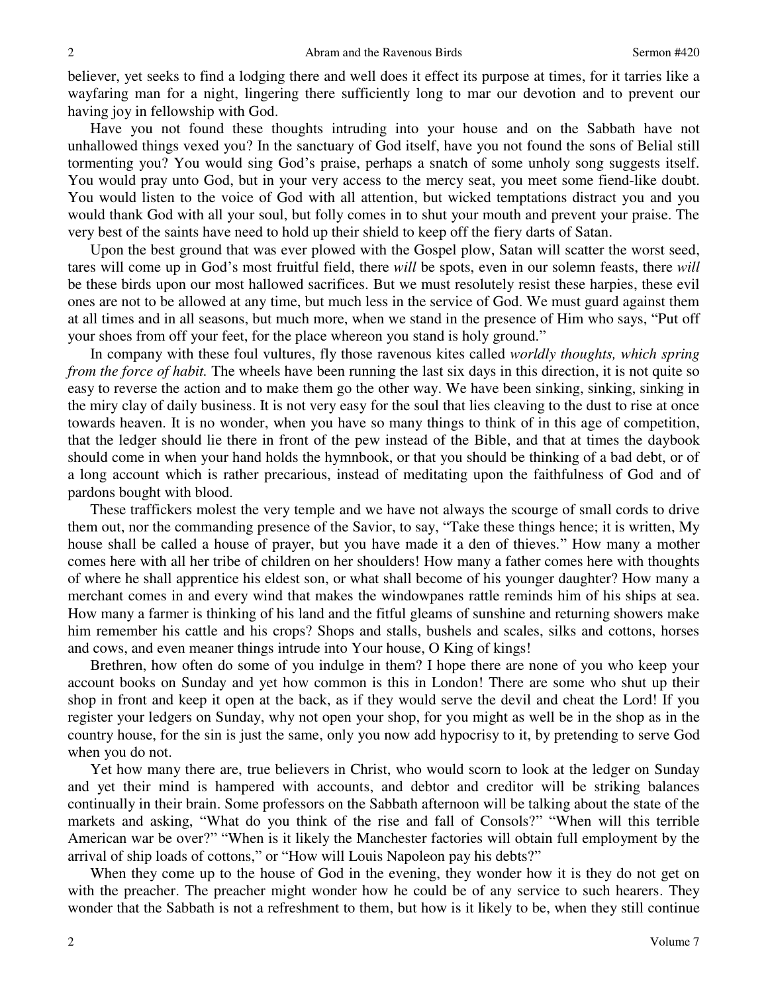believer, yet seeks to find a lodging there and well does it effect its purpose at times, for it tarries like a wayfaring man for a night, lingering there sufficiently long to mar our devotion and to prevent our having joy in fellowship with God.

Have you not found these thoughts intruding into your house and on the Sabbath have not unhallowed things vexed you? In the sanctuary of God itself, have you not found the sons of Belial still tormenting you? You would sing God's praise, perhaps a snatch of some unholy song suggests itself. You would pray unto God, but in your very access to the mercy seat, you meet some fiend-like doubt. You would listen to the voice of God with all attention, but wicked temptations distract you and you would thank God with all your soul, but folly comes in to shut your mouth and prevent your praise. The very best of the saints have need to hold up their shield to keep off the fiery darts of Satan.

Upon the best ground that was ever plowed with the Gospel plow, Satan will scatter the worst seed, tares will come up in God's most fruitful field, there *will* be spots, even in our solemn feasts, there *will*  be these birds upon our most hallowed sacrifices. But we must resolutely resist these harpies, these evil ones are not to be allowed at any time, but much less in the service of God. We must guard against them at all times and in all seasons, but much more, when we stand in the presence of Him who says, "Put off your shoes from off your feet, for the place whereon you stand is holy ground."

In company with these foul vultures, fly those ravenous kites called *worldly thoughts, which spring from the force of habit*. The wheels have been running the last six days in this direction, it is not quite so easy to reverse the action and to make them go the other way. We have been sinking, sinking, sinking in the miry clay of daily business. It is not very easy for the soul that lies cleaving to the dust to rise at once towards heaven. It is no wonder, when you have so many things to think of in this age of competition, that the ledger should lie there in front of the pew instead of the Bible, and that at times the daybook should come in when your hand holds the hymnbook, or that you should be thinking of a bad debt, or of a long account which is rather precarious, instead of meditating upon the faithfulness of God and of pardons bought with blood.

These traffickers molest the very temple and we have not always the scourge of small cords to drive them out, nor the commanding presence of the Savior, to say, "Take these things hence; it is written, My house shall be called a house of prayer, but you have made it a den of thieves." How many a mother comes here with all her tribe of children on her shoulders! How many a father comes here with thoughts of where he shall apprentice his eldest son, or what shall become of his younger daughter? How many a merchant comes in and every wind that makes the windowpanes rattle reminds him of his ships at sea. How many a farmer is thinking of his land and the fitful gleams of sunshine and returning showers make him remember his cattle and his crops? Shops and stalls, bushels and scales, silks and cottons, horses and cows, and even meaner things intrude into Your house, O King of kings!

Brethren, how often do some of you indulge in them? I hope there are none of you who keep your account books on Sunday and yet how common is this in London! There are some who shut up their shop in front and keep it open at the back, as if they would serve the devil and cheat the Lord! If you register your ledgers on Sunday, why not open your shop, for you might as well be in the shop as in the country house, for the sin is just the same, only you now add hypocrisy to it, by pretending to serve God when you do not.

Yet how many there are, true believers in Christ, who would scorn to look at the ledger on Sunday and yet their mind is hampered with accounts, and debtor and creditor will be striking balances continually in their brain. Some professors on the Sabbath afternoon will be talking about the state of the markets and asking, "What do you think of the rise and fall of Consols?" "When will this terrible American war be over?" "When is it likely the Manchester factories will obtain full employment by the arrival of ship loads of cottons," or "How will Louis Napoleon pay his debts?"

When they come up to the house of God in the evening, they wonder how it is they do not get on with the preacher. The preacher might wonder how he could be of any service to such hearers. They wonder that the Sabbath is not a refreshment to them, but how is it likely to be, when they still continue

2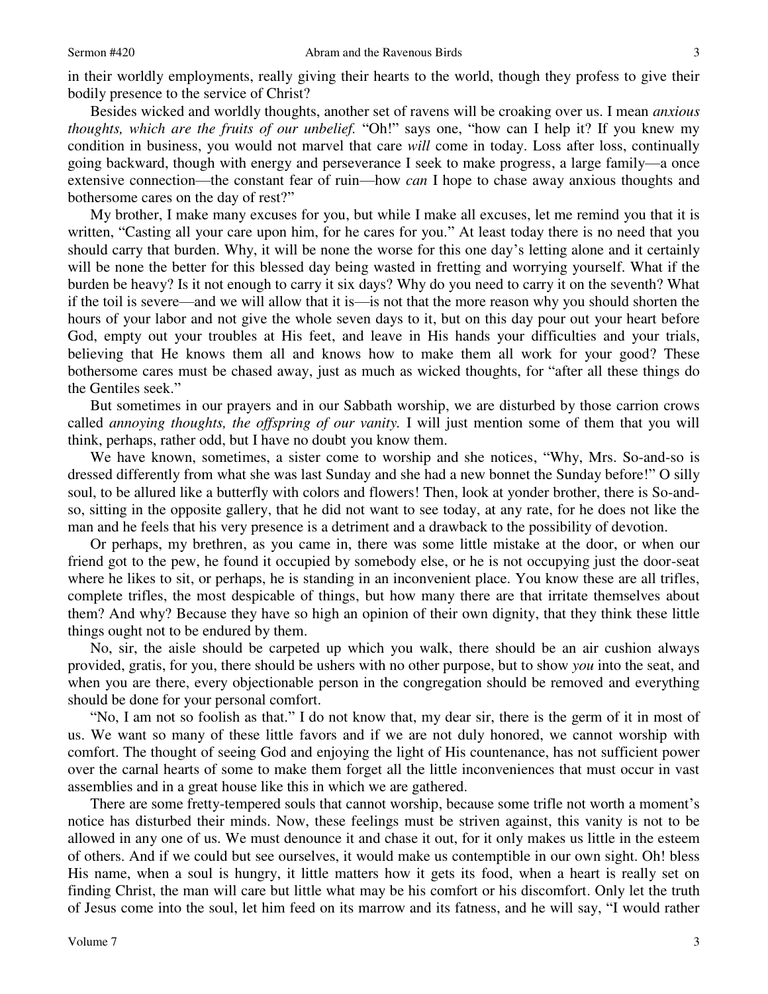in their worldly employments, really giving their hearts to the world, though they profess to give their bodily presence to the service of Christ?

Besides wicked and worldly thoughts, another set of ravens will be croaking over us. I mean *anxious thoughts, which are the fruits of our unbelief.* "Oh!" says one, "how can I help it? If you knew my condition in business, you would not marvel that care *will* come in today. Loss after loss, continually going backward, though with energy and perseverance I seek to make progress, a large family—a once extensive connection—the constant fear of ruin—how *can* I hope to chase away anxious thoughts and bothersome cares on the day of rest?"

My brother, I make many excuses for you, but while I make all excuses, let me remind you that it is written, "Casting all your care upon him, for he cares for you." At least today there is no need that you should carry that burden. Why, it will be none the worse for this one day's letting alone and it certainly will be none the better for this blessed day being wasted in fretting and worrying yourself. What if the burden be heavy? Is it not enough to carry it six days? Why do you need to carry it on the seventh? What if the toil is severe—and we will allow that it is—is not that the more reason why you should shorten the hours of your labor and not give the whole seven days to it, but on this day pour out your heart before God, empty out your troubles at His feet, and leave in His hands your difficulties and your trials, believing that He knows them all and knows how to make them all work for your good? These bothersome cares must be chased away, just as much as wicked thoughts, for "after all these things do the Gentiles seek."

But sometimes in our prayers and in our Sabbath worship, we are disturbed by those carrion crows called *annoying thoughts, the offspring of our vanity.* I will just mention some of them that you will think, perhaps, rather odd, but I have no doubt you know them.

We have known, sometimes, a sister come to worship and she notices, "Why, Mrs. So-and-so is dressed differently from what she was last Sunday and she had a new bonnet the Sunday before!" O silly soul, to be allured like a butterfly with colors and flowers! Then, look at yonder brother, there is So-andso, sitting in the opposite gallery, that he did not want to see today, at any rate, for he does not like the man and he feels that his very presence is a detriment and a drawback to the possibility of devotion.

Or perhaps, my brethren, as you came in, there was some little mistake at the door, or when our friend got to the pew, he found it occupied by somebody else, or he is not occupying just the door-seat where he likes to sit, or perhaps, he is standing in an inconvenient place. You know these are all trifles, complete trifles, the most despicable of things, but how many there are that irritate themselves about them? And why? Because they have so high an opinion of their own dignity, that they think these little things ought not to be endured by them.

No, sir, the aisle should be carpeted up which you walk, there should be an air cushion always provided, gratis, for you, there should be ushers with no other purpose, but to show *you* into the seat, and when you are there, every objectionable person in the congregation should be removed and everything should be done for your personal comfort.

"No, I am not so foolish as that." I do not know that, my dear sir, there is the germ of it in most of us. We want so many of these little favors and if we are not duly honored, we cannot worship with comfort. The thought of seeing God and enjoying the light of His countenance, has not sufficient power over the carnal hearts of some to make them forget all the little inconveniences that must occur in vast assemblies and in a great house like this in which we are gathered.

There are some fretty-tempered souls that cannot worship, because some trifle not worth a moment's notice has disturbed their minds. Now, these feelings must be striven against, this vanity is not to be allowed in any one of us. We must denounce it and chase it out, for it only makes us little in the esteem of others. And if we could but see ourselves, it would make us contemptible in our own sight. Oh! bless His name, when a soul is hungry, it little matters how it gets its food, when a heart is really set on finding Christ, the man will care but little what may be his comfort or his discomfort. Only let the truth of Jesus come into the soul, let him feed on its marrow and its fatness, and he will say, "I would rather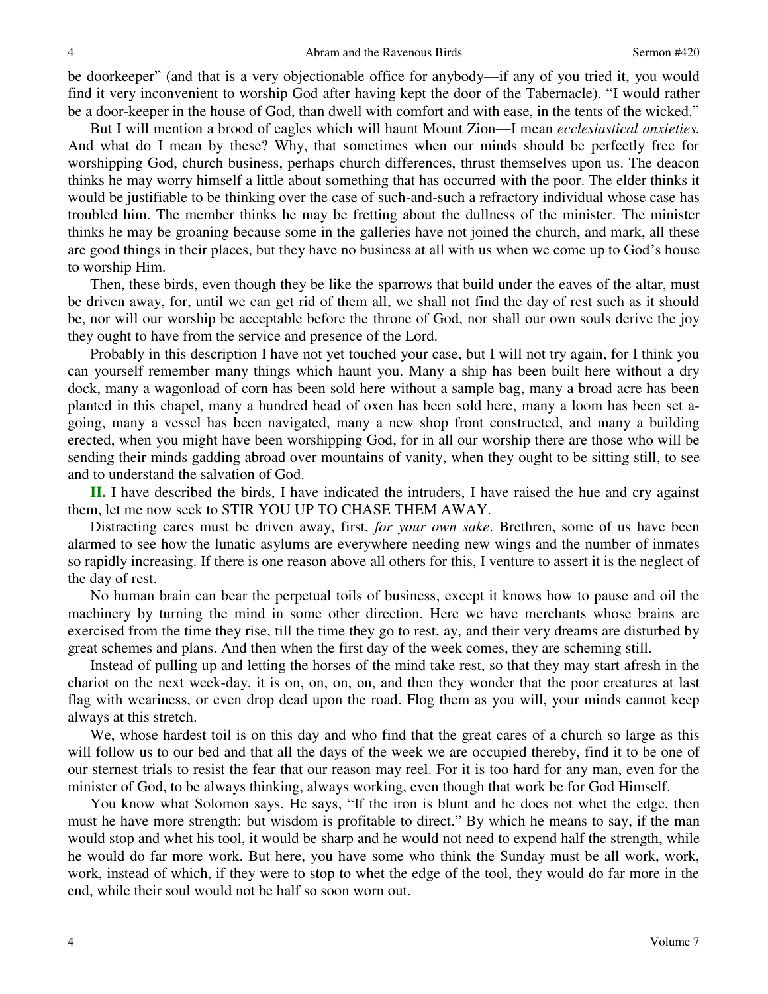be doorkeeper" (and that is a very objectionable office for anybody—if any of you tried it, you would find it very inconvenient to worship God after having kept the door of the Tabernacle). "I would rather be a door-keeper in the house of God, than dwell with comfort and with ease, in the tents of the wicked."

But I will mention a brood of eagles which will haunt Mount Zion—I mean *ecclesiastical anxieties.* And what do I mean by these? Why, that sometimes when our minds should be perfectly free for worshipping God, church business, perhaps church differences, thrust themselves upon us. The deacon thinks he may worry himself a little about something that has occurred with the poor. The elder thinks it would be justifiable to be thinking over the case of such-and-such a refractory individual whose case has troubled him. The member thinks he may be fretting about the dullness of the minister. The minister thinks he may be groaning because some in the galleries have not joined the church, and mark, all these are good things in their places, but they have no business at all with us when we come up to God's house to worship Him.

Then, these birds, even though they be like the sparrows that build under the eaves of the altar, must be driven away, for, until we can get rid of them all, we shall not find the day of rest such as it should be, nor will our worship be acceptable before the throne of God, nor shall our own souls derive the joy they ought to have from the service and presence of the Lord.

Probably in this description I have not yet touched your case, but I will not try again, for I think you can yourself remember many things which haunt you. Many a ship has been built here without a dry dock, many a wagonload of corn has been sold here without a sample bag, many a broad acre has been planted in this chapel, many a hundred head of oxen has been sold here, many a loom has been set agoing, many a vessel has been navigated, many a new shop front constructed, and many a building erected, when you might have been worshipping God, for in all our worship there are those who will be sending their minds gadding abroad over mountains of vanity, when they ought to be sitting still, to see and to understand the salvation of God.

**II.** I have described the birds, I have indicated the intruders, I have raised the hue and cry against them, let me now seek to STIR YOU UP TO CHASE THEM AWAY.

Distracting cares must be driven away, first, *for your own sake*. Brethren, some of us have been alarmed to see how the lunatic asylums are everywhere needing new wings and the number of inmates so rapidly increasing. If there is one reason above all others for this, I venture to assert it is the neglect of the day of rest.

No human brain can bear the perpetual toils of business, except it knows how to pause and oil the machinery by turning the mind in some other direction. Here we have merchants whose brains are exercised from the time they rise, till the time they go to rest, ay, and their very dreams are disturbed by great schemes and plans. And then when the first day of the week comes, they are scheming still.

Instead of pulling up and letting the horses of the mind take rest, so that they may start afresh in the chariot on the next week-day, it is on, on, on, on, and then they wonder that the poor creatures at last flag with weariness, or even drop dead upon the road. Flog them as you will, your minds cannot keep always at this stretch.

We, whose hardest toil is on this day and who find that the great cares of a church so large as this will follow us to our bed and that all the days of the week we are occupied thereby, find it to be one of our sternest trials to resist the fear that our reason may reel. For it is too hard for any man, even for the minister of God, to be always thinking, always working, even though that work be for God Himself.

You know what Solomon says. He says, "If the iron is blunt and he does not whet the edge, then must he have more strength: but wisdom is profitable to direct." By which he means to say, if the man would stop and whet his tool, it would be sharp and he would not need to expend half the strength, while he would do far more work. But here, you have some who think the Sunday must be all work, work, work, instead of which, if they were to stop to whet the edge of the tool, they would do far more in the end, while their soul would not be half so soon worn out.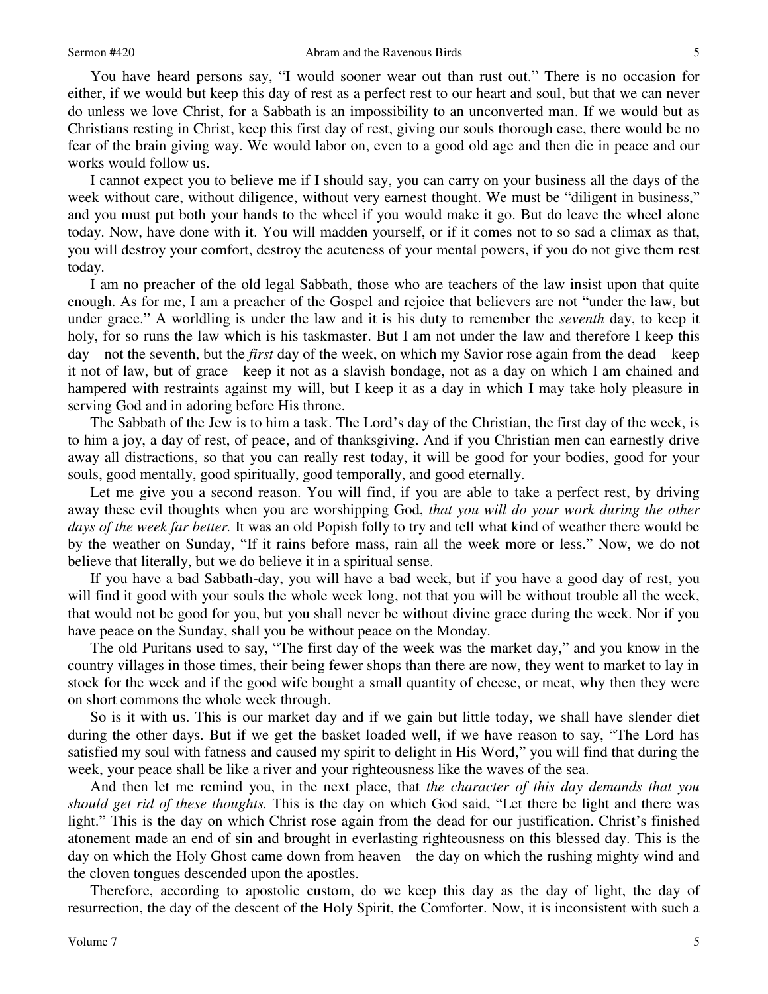You have heard persons say, "I would sooner wear out than rust out." There is no occasion for either, if we would but keep this day of rest as a perfect rest to our heart and soul, but that we can never do unless we love Christ, for a Sabbath is an impossibility to an unconverted man. If we would but as Christians resting in Christ, keep this first day of rest, giving our souls thorough ease, there would be no fear of the brain giving way. We would labor on, even to a good old age and then die in peace and our works would follow us.

I cannot expect you to believe me if I should say, you can carry on your business all the days of the week without care, without diligence, without very earnest thought. We must be "diligent in business," and you must put both your hands to the wheel if you would make it go. But do leave the wheel alone today. Now, have done with it. You will madden yourself, or if it comes not to so sad a climax as that, you will destroy your comfort, destroy the acuteness of your mental powers, if you do not give them rest today.

I am no preacher of the old legal Sabbath, those who are teachers of the law insist upon that quite enough. As for me, I am a preacher of the Gospel and rejoice that believers are not "under the law, but under grace." A worldling is under the law and it is his duty to remember the *seventh* day, to keep it holy, for so runs the law which is his taskmaster. But I am not under the law and therefore I keep this day—not the seventh, but the *first* day of the week, on which my Savior rose again from the dead—keep it not of law, but of grace—keep it not as a slavish bondage, not as a day on which I am chained and hampered with restraints against my will, but I keep it as a day in which I may take holy pleasure in serving God and in adoring before His throne.

The Sabbath of the Jew is to him a task. The Lord's day of the Christian, the first day of the week, is to him a joy, a day of rest, of peace, and of thanksgiving. And if you Christian men can earnestly drive away all distractions, so that you can really rest today, it will be good for your bodies, good for your souls, good mentally, good spiritually, good temporally, and good eternally.

Let me give you a second reason. You will find, if you are able to take a perfect rest, by driving away these evil thoughts when you are worshipping God, *that you will do your work during the other days of the week far better.* It was an old Popish folly to try and tell what kind of weather there would be by the weather on Sunday, "If it rains before mass, rain all the week more or less." Now, we do not believe that literally, but we do believe it in a spiritual sense.

If you have a bad Sabbath-day, you will have a bad week, but if you have a good day of rest, you will find it good with your souls the whole week long, not that you will be without trouble all the week, that would not be good for you, but you shall never be without divine grace during the week. Nor if you have peace on the Sunday, shall you be without peace on the Monday.

The old Puritans used to say, "The first day of the week was the market day," and you know in the country villages in those times, their being fewer shops than there are now, they went to market to lay in stock for the week and if the good wife bought a small quantity of cheese, or meat, why then they were on short commons the whole week through.

So is it with us. This is our market day and if we gain but little today, we shall have slender diet during the other days. But if we get the basket loaded well, if we have reason to say, "The Lord has satisfied my soul with fatness and caused my spirit to delight in His Word," you will find that during the week, your peace shall be like a river and your righteousness like the waves of the sea.

And then let me remind you, in the next place, that *the character of this day demands that you should get rid of these thoughts.* This is the day on which God said, "Let there be light and there was light." This is the day on which Christ rose again from the dead for our justification. Christ's finished atonement made an end of sin and brought in everlasting righteousness on this blessed day. This is the day on which the Holy Ghost came down from heaven—the day on which the rushing mighty wind and the cloven tongues descended upon the apostles.

Therefore, according to apostolic custom, do we keep this day as the day of light, the day of resurrection, the day of the descent of the Holy Spirit, the Comforter. Now, it is inconsistent with such a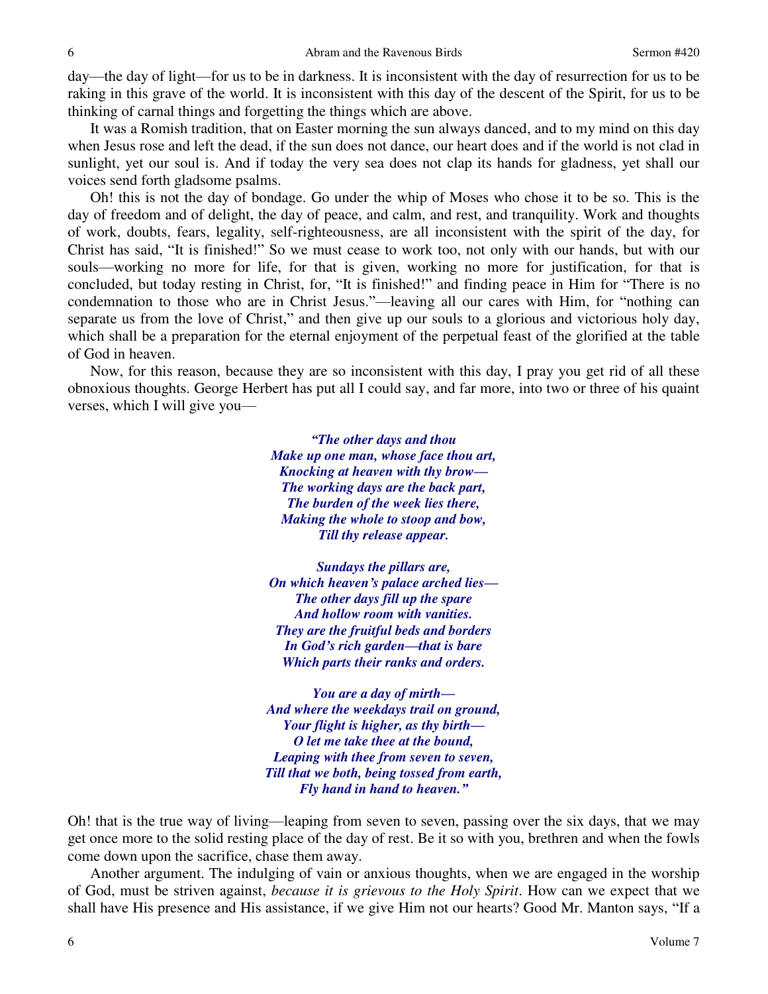day—the day of light—for us to be in darkness. It is inconsistent with the day of resurrection for us to be raking in this grave of the world. It is inconsistent with this day of the descent of the Spirit, for us to be thinking of carnal things and forgetting the things which are above.

It was a Romish tradition, that on Easter morning the sun always danced, and to my mind on this day when Jesus rose and left the dead, if the sun does not dance, our heart does and if the world is not clad in sunlight, yet our soul is. And if today the very sea does not clap its hands for gladness, yet shall our voices send forth gladsome psalms.

Oh! this is not the day of bondage. Go under the whip of Moses who chose it to be so. This is the day of freedom and of delight, the day of peace, and calm, and rest, and tranquility. Work and thoughts of work, doubts, fears, legality, self-righteousness, are all inconsistent with the spirit of the day, for Christ has said, "It is finished!" So we must cease to work too, not only with our hands, but with our souls—working no more for life, for that is given, working no more for justification, for that is concluded, but today resting in Christ, for, "It is finished!" and finding peace in Him for "There is no condemnation to those who are in Christ Jesus."—leaving all our cares with Him, for "nothing can separate us from the love of Christ," and then give up our souls to a glorious and victorious holy day, which shall be a preparation for the eternal enjoyment of the perpetual feast of the glorified at the table of God in heaven.

Now, for this reason, because they are so inconsistent with this day, I pray you get rid of all these obnoxious thoughts. George Herbert has put all I could say, and far more, into two or three of his quaint verses, which I will give you—

> *"The other days and thou Make up one man, whose face thou art, Knocking at heaven with thy brow— The working days are the back part, The burden of the week lies there, Making the whole to stoop and bow, Till thy release appear.*

*Sundays the pillars are, On which heaven's palace arched lies— The other days fill up the spare And hollow room with vanities. They are the fruitful beds and borders In God's rich garden—that is bare Which parts their ranks and orders.* 

*You are a day of mirth— And where the weekdays trail on ground, Your flight is higher, as thy birth— O let me take thee at the bound, Leaping with thee from seven to seven, Till that we both, being tossed from earth, Fly hand in hand to heaven."*

Oh! that is the true way of living—leaping from seven to seven, passing over the six days, that we may get once more to the solid resting place of the day of rest. Be it so with you, brethren and when the fowls come down upon the sacrifice, chase them away.

Another argument. The indulging of vain or anxious thoughts, when we are engaged in the worship of God, must be striven against, *because it is grievous to the Holy Spirit*. How can we expect that we shall have His presence and His assistance, if we give Him not our hearts? Good Mr. Manton says, "If a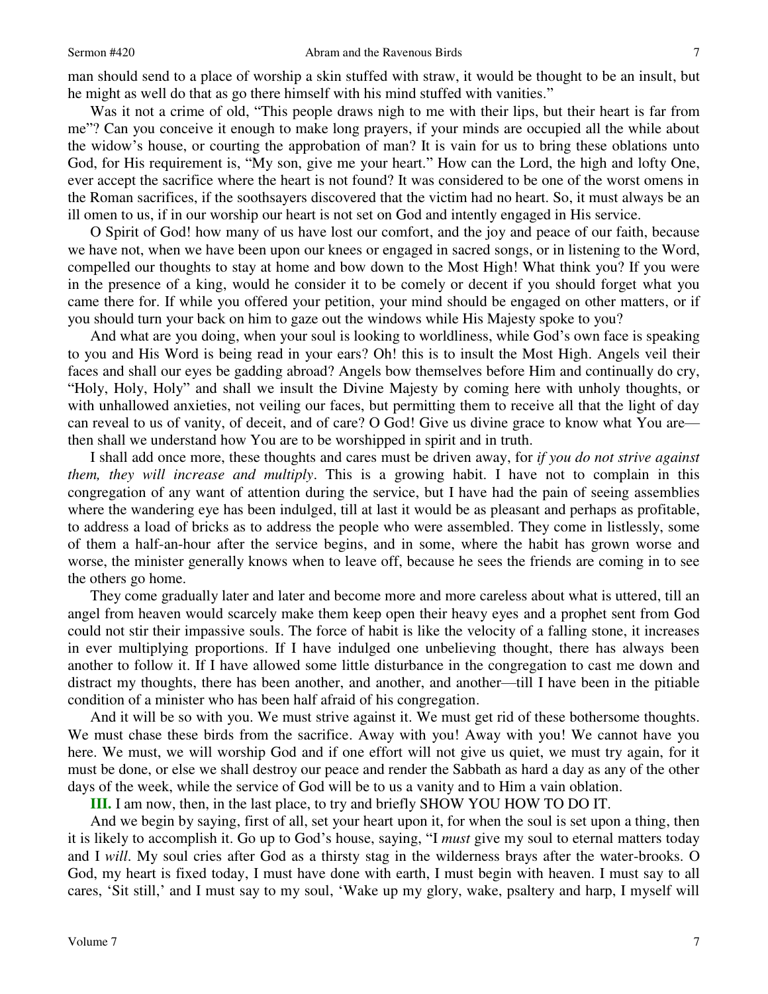man should send to a place of worship a skin stuffed with straw, it would be thought to be an insult, but he might as well do that as go there himself with his mind stuffed with vanities."

Was it not a crime of old, "This people draws nigh to me with their lips, but their heart is far from me"? Can you conceive it enough to make long prayers, if your minds are occupied all the while about the widow's house, or courting the approbation of man? It is vain for us to bring these oblations unto God, for His requirement is, "My son, give me your heart." How can the Lord, the high and lofty One, ever accept the sacrifice where the heart is not found? It was considered to be one of the worst omens in the Roman sacrifices, if the soothsayers discovered that the victim had no heart. So, it must always be an ill omen to us, if in our worship our heart is not set on God and intently engaged in His service.

O Spirit of God! how many of us have lost our comfort, and the joy and peace of our faith, because we have not, when we have been upon our knees or engaged in sacred songs, or in listening to the Word, compelled our thoughts to stay at home and bow down to the Most High! What think you? If you were in the presence of a king, would he consider it to be comely or decent if you should forget what you came there for. If while you offered your petition, your mind should be engaged on other matters, or if you should turn your back on him to gaze out the windows while His Majesty spoke to you?

And what are you doing, when your soul is looking to worldliness, while God's own face is speaking to you and His Word is being read in your ears? Oh! this is to insult the Most High. Angels veil their faces and shall our eyes be gadding abroad? Angels bow themselves before Him and continually do cry, "Holy, Holy, Holy" and shall we insult the Divine Majesty by coming here with unholy thoughts, or with unhallowed anxieties, not veiling our faces, but permitting them to receive all that the light of day can reveal to us of vanity, of deceit, and of care? O God! Give us divine grace to know what You are then shall we understand how You are to be worshipped in spirit and in truth.

I shall add once more, these thoughts and cares must be driven away, for *if you do not strive against them, they will increase and multiply*. This is a growing habit. I have not to complain in this congregation of any want of attention during the service, but I have had the pain of seeing assemblies where the wandering eye has been indulged, till at last it would be as pleasant and perhaps as profitable, to address a load of bricks as to address the people who were assembled. They come in listlessly, some of them a half-an-hour after the service begins, and in some, where the habit has grown worse and worse, the minister generally knows when to leave off, because he sees the friends are coming in to see the others go home.

They come gradually later and later and become more and more careless about what is uttered, till an angel from heaven would scarcely make them keep open their heavy eyes and a prophet sent from God could not stir their impassive souls. The force of habit is like the velocity of a falling stone, it increases in ever multiplying proportions. If I have indulged one unbelieving thought, there has always been another to follow it. If I have allowed some little disturbance in the congregation to cast me down and distract my thoughts, there has been another, and another, and another—till I have been in the pitiable condition of a minister who has been half afraid of his congregation.

And it will be so with you. We must strive against it. We must get rid of these bothersome thoughts. We must chase these birds from the sacrifice. Away with you! Away with you! We cannot have you here. We must, we will worship God and if one effort will not give us quiet, we must try again, for it must be done, or else we shall destroy our peace and render the Sabbath as hard a day as any of the other days of the week, while the service of God will be to us a vanity and to Him a vain oblation.

**III.** I am now, then, in the last place, to try and briefly SHOW YOU HOW TO DO IT.

And we begin by saying, first of all, set your heart upon it, for when the soul is set upon a thing, then it is likely to accomplish it. Go up to God's house, saying, "I *must* give my soul to eternal matters today and I *will*. My soul cries after God as a thirsty stag in the wilderness brays after the water-brooks. O God, my heart is fixed today, I must have done with earth, I must begin with heaven. I must say to all cares, 'Sit still,' and I must say to my soul, 'Wake up my glory, wake, psaltery and harp, I myself will

7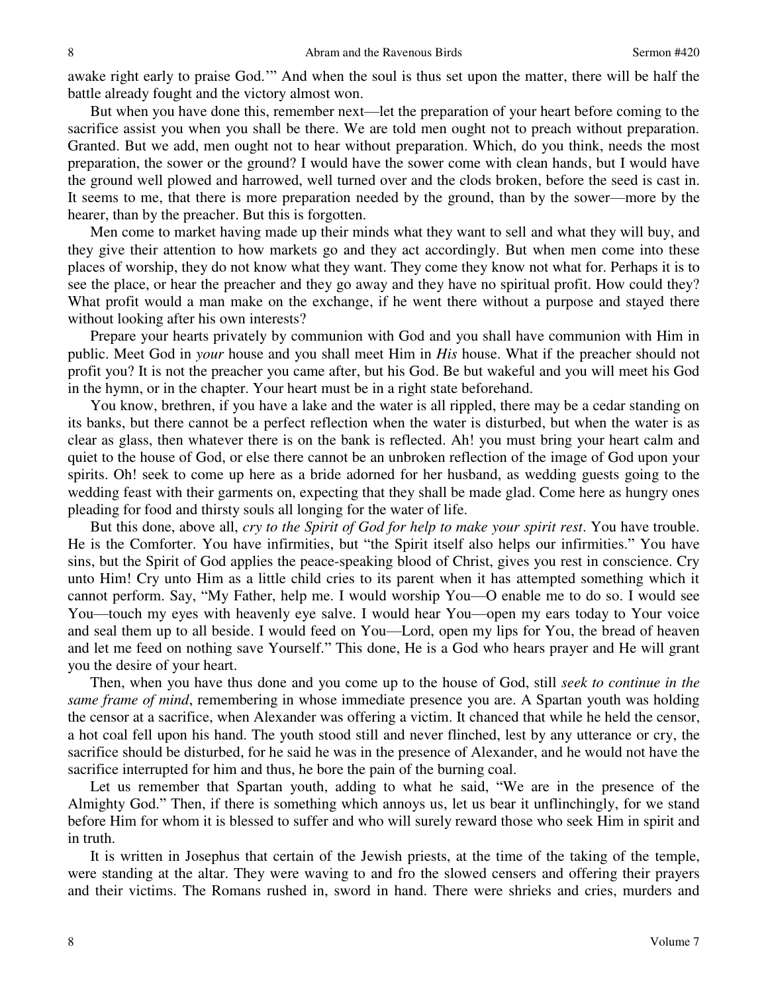awake right early to praise God.'" And when the soul is thus set upon the matter, there will be half the battle already fought and the victory almost won.

But when you have done this, remember next—let the preparation of your heart before coming to the sacrifice assist you when you shall be there. We are told men ought not to preach without preparation. Granted. But we add, men ought not to hear without preparation. Which, do you think, needs the most preparation, the sower or the ground? I would have the sower come with clean hands, but I would have the ground well plowed and harrowed, well turned over and the clods broken, before the seed is cast in. It seems to me, that there is more preparation needed by the ground, than by the sower—more by the hearer, than by the preacher. But this is forgotten.

Men come to market having made up their minds what they want to sell and what they will buy, and they give their attention to how markets go and they act accordingly. But when men come into these places of worship, they do not know what they want. They come they know not what for. Perhaps it is to see the place, or hear the preacher and they go away and they have no spiritual profit. How could they? What profit would a man make on the exchange, if he went there without a purpose and stayed there without looking after his own interests?

Prepare your hearts privately by communion with God and you shall have communion with Him in public. Meet God in *your* house and you shall meet Him in *His* house. What if the preacher should not profit you? It is not the preacher you came after, but his God. Be but wakeful and you will meet his God in the hymn, or in the chapter. Your heart must be in a right state beforehand.

You know, brethren, if you have a lake and the water is all rippled, there may be a cedar standing on its banks, but there cannot be a perfect reflection when the water is disturbed, but when the water is as clear as glass, then whatever there is on the bank is reflected. Ah! you must bring your heart calm and quiet to the house of God, or else there cannot be an unbroken reflection of the image of God upon your spirits. Oh! seek to come up here as a bride adorned for her husband, as wedding guests going to the wedding feast with their garments on, expecting that they shall be made glad. Come here as hungry ones pleading for food and thirsty souls all longing for the water of life.

But this done, above all, *cry to the Spirit of God for help to make your spirit rest*. You have trouble. He is the Comforter. You have infirmities, but "the Spirit itself also helps our infirmities." You have sins, but the Spirit of God applies the peace-speaking blood of Christ, gives you rest in conscience. Cry unto Him! Cry unto Him as a little child cries to its parent when it has attempted something which it cannot perform. Say, "My Father, help me. I would worship You—O enable me to do so. I would see You—touch my eyes with heavenly eye salve. I would hear You—open my ears today to Your voice and seal them up to all beside. I would feed on You—Lord, open my lips for You, the bread of heaven and let me feed on nothing save Yourself." This done, He is a God who hears prayer and He will grant you the desire of your heart.

Then, when you have thus done and you come up to the house of God, still *seek to continue in the same frame of mind*, remembering in whose immediate presence you are. A Spartan youth was holding the censor at a sacrifice, when Alexander was offering a victim. It chanced that while he held the censor, a hot coal fell upon his hand. The youth stood still and never flinched, lest by any utterance or cry, the sacrifice should be disturbed, for he said he was in the presence of Alexander, and he would not have the sacrifice interrupted for him and thus, he bore the pain of the burning coal.

Let us remember that Spartan youth, adding to what he said, "We are in the presence of the Almighty God." Then, if there is something which annoys us, let us bear it unflinchingly, for we stand before Him for whom it is blessed to suffer and who will surely reward those who seek Him in spirit and in truth.

It is written in Josephus that certain of the Jewish priests, at the time of the taking of the temple, were standing at the altar. They were waving to and fro the slowed censers and offering their prayers and their victims. The Romans rushed in, sword in hand. There were shrieks and cries, murders and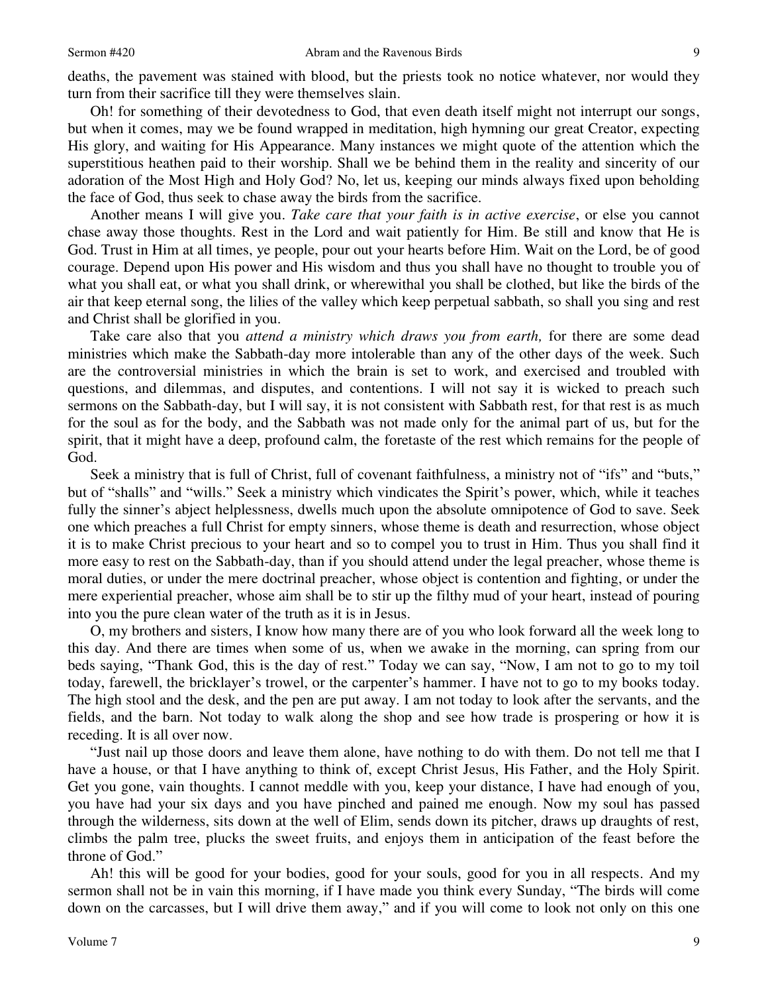deaths, the pavement was stained with blood, but the priests took no notice whatever, nor would they turn from their sacrifice till they were themselves slain.

Oh! for something of their devotedness to God, that even death itself might not interrupt our songs, but when it comes, may we be found wrapped in meditation, high hymning our great Creator, expecting His glory, and waiting for His Appearance. Many instances we might quote of the attention which the superstitious heathen paid to their worship. Shall we be behind them in the reality and sincerity of our adoration of the Most High and Holy God? No, let us, keeping our minds always fixed upon beholding the face of God, thus seek to chase away the birds from the sacrifice.

Another means I will give you. *Take care that your faith is in active exercise*, or else you cannot chase away those thoughts. Rest in the Lord and wait patiently for Him. Be still and know that He is God. Trust in Him at all times, ye people, pour out your hearts before Him. Wait on the Lord, be of good courage. Depend upon His power and His wisdom and thus you shall have no thought to trouble you of what you shall eat, or what you shall drink, or wherewithal you shall be clothed, but like the birds of the air that keep eternal song, the lilies of the valley which keep perpetual sabbath, so shall you sing and rest and Christ shall be glorified in you.

Take care also that you *attend a ministry which draws you from earth,* for there are some dead ministries which make the Sabbath-day more intolerable than any of the other days of the week. Such are the controversial ministries in which the brain is set to work, and exercised and troubled with questions, and dilemmas, and disputes, and contentions. I will not say it is wicked to preach such sermons on the Sabbath-day, but I will say, it is not consistent with Sabbath rest, for that rest is as much for the soul as for the body, and the Sabbath was not made only for the animal part of us, but for the spirit, that it might have a deep, profound calm, the foretaste of the rest which remains for the people of God.

Seek a ministry that is full of Christ, full of covenant faithfulness, a ministry not of "ifs" and "buts," but of "shalls" and "wills." Seek a ministry which vindicates the Spirit's power, which, while it teaches fully the sinner's abject helplessness, dwells much upon the absolute omnipotence of God to save. Seek one which preaches a full Christ for empty sinners, whose theme is death and resurrection, whose object it is to make Christ precious to your heart and so to compel you to trust in Him. Thus you shall find it more easy to rest on the Sabbath-day, than if you should attend under the legal preacher, whose theme is moral duties, or under the mere doctrinal preacher, whose object is contention and fighting, or under the mere experiential preacher, whose aim shall be to stir up the filthy mud of your heart, instead of pouring into you the pure clean water of the truth as it is in Jesus.

O, my brothers and sisters, I know how many there are of you who look forward all the week long to this day. And there are times when some of us, when we awake in the morning, can spring from our beds saying, "Thank God, this is the day of rest." Today we can say, "Now, I am not to go to my toil today, farewell, the bricklayer's trowel, or the carpenter's hammer. I have not to go to my books today. The high stool and the desk, and the pen are put away. I am not today to look after the servants, and the fields, and the barn. Not today to walk along the shop and see how trade is prospering or how it is receding. It is all over now.

"Just nail up those doors and leave them alone, have nothing to do with them. Do not tell me that I have a house, or that I have anything to think of, except Christ Jesus, His Father, and the Holy Spirit. Get you gone, vain thoughts. I cannot meddle with you, keep your distance, I have had enough of you, you have had your six days and you have pinched and pained me enough. Now my soul has passed through the wilderness, sits down at the well of Elim, sends down its pitcher, draws up draughts of rest, climbs the palm tree, plucks the sweet fruits, and enjoys them in anticipation of the feast before the throne of God."

Ah! this will be good for your bodies, good for your souls, good for you in all respects. And my sermon shall not be in vain this morning, if I have made you think every Sunday, "The birds will come down on the carcasses, but I will drive them away," and if you will come to look not only on this one